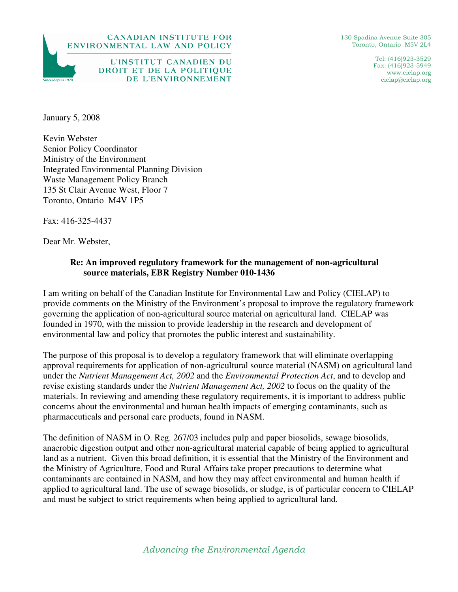

DROIT ET DE LA POLITIQUE

DE L'ENVIRONNEMENT

130 Spadina Avenue Suite 305 Toronto, Ontario M5V 2L4

> Tel: (416)923-3529 Fax: (416)923-5949 www.cielap.org cielap@cielap.org

January 5, 2008

Since/denuis 1970

Kevin Webster Senior Policy Coordinator Ministry of the Environment Integrated Environmental Planning Division Waste Management Policy Branch 135 St Clair Avenue West, Floor 7 Toronto, Ontario M4V 1P5

Fax: 416-325-4437

Dear Mr. Webster,

## **Re: An improved regulatory framework for the management of non-agricultural source materials, EBR Registry Number 010-1436**

I am writing on behalf of the Canadian Institute for Environmental Law and Policy (CIELAP) to provide comments on the Ministry of the Environment's proposal to improve the regulatory framework governing the application of non-agricultural source material on agricultural land. CIELAP was founded in 1970, with the mission to provide leadership in the research and development of environmental law and policy that promotes the public interest and sustainability.

The purpose of this proposal is to develop a regulatory framework that will eliminate overlapping approval requirements for application of non-agricultural source material (NASM) on agricultural land under the *Nutrient Management Act, 2002* and the *Environmental Protection Act*, and to develop and revise existing standards under the *Nutrient Management Act, 2002* to focus on the quality of the materials. In reviewing and amending these regulatory requirements, it is important to address public concerns about the environmental and human health impacts of emerging contaminants, such as pharmaceuticals and personal care products, found in NASM.

The definition of NASM in O. Reg. 267/03 includes pulp and paper biosolids, sewage biosolids, anaerobic digestion output and other non-agricultural material capable of being applied to agricultural land as a nutrient. Given this broad definition, it is essential that the Ministry of the Environment and the Ministry of Agriculture, Food and Rural Affairs take proper precautions to determine what contaminants are contained in NASM, and how they may affect environmental and human health if applied to agricultural land. The use of sewage biosolids, or sludge, is of particular concern to CIELAP and must be subject to strict requirements when being applied to agricultural land.